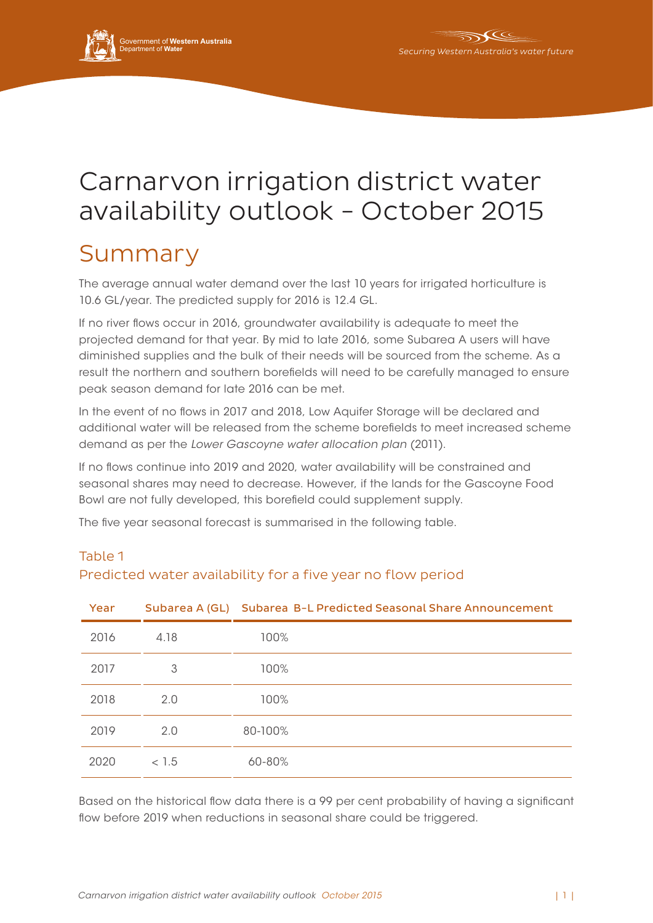

# Carnarvon irrigation district water availability outlook - October 2015

## Summary

The average annual water demand over the last 10 years for irrigated horticulture is 10.6 GL/year. The predicted supply for 2016 is 12.4 GL.

If no river flows occur in 2016, groundwater availability is adequate to meet the projected demand for that year. By mid to late 2016, some Subarea A users will have diminished supplies and the bulk of their needs will be sourced from the scheme. As a result the northern and southern borefields will need to be carefully managed to ensure peak season demand for late 2016 can be met.

In the event of no flows in 2017 and 2018, Low Aquifer Storage will be declared and additional water will be released from the scheme borefields to meet increased scheme demand as per the *Lower Gascoyne water allocation plan* (2011).

If no flows continue into 2019 and 2020, water availability will be constrained and seasonal shares may need to decrease. However, if the lands for the Gascoyne Food Bowl are not fully developed, this borefield could supplement supply.

The five year seasonal forecast is summarised in the following table.

| Year |       | Subarea A (GL) Subarea B-L Predicted Seasonal Share Announcement |
|------|-------|------------------------------------------------------------------|
| 2016 | 4.18  | 100%                                                             |
| 2017 | 3     | 100%                                                             |
| 2018 | 2.0   | 100%                                                             |
| 2019 | 2.0   | 80-100%                                                          |
| 2020 | < 1.5 | 60-80%                                                           |

### Table 1

Predicted water availability for a five year no flow period

Based on the historical flow data there is a 99 per cent probability of having a significant flow before 2019 when reductions in seasonal share could be triggered.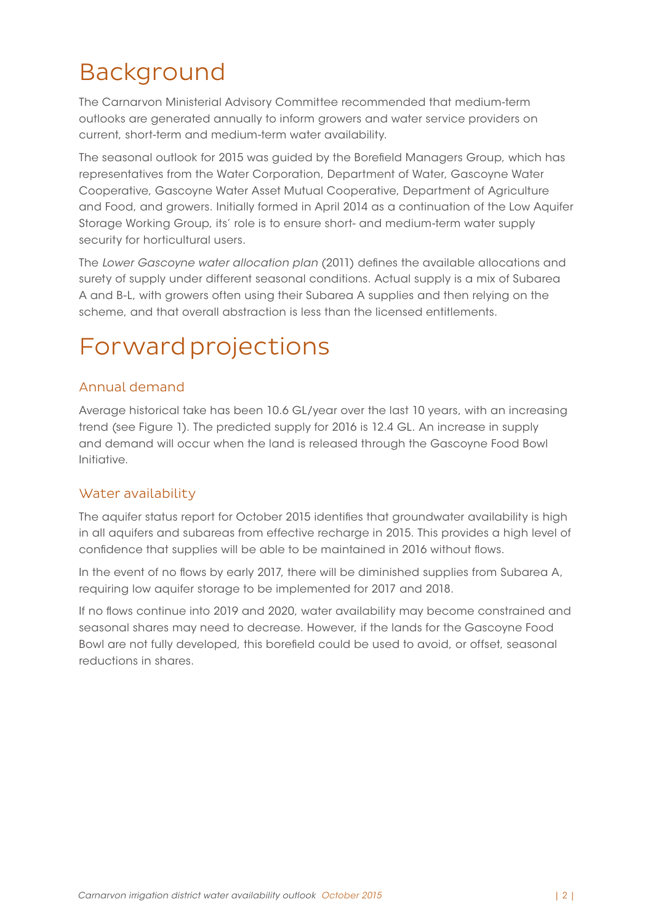# Background

The Carnarvon Ministerial Advisory Committee recommended that medium-term outlooks are generated annually to inform growers and water service providers on current, short-term and medium-term water availability.

The seasonal outlook for 2015 was guided by the Borefield Managers Group, which has representatives from the Water Corporation, Department of Water, Gascoyne Water Cooperative, Gascoyne Water Asset Mutual Cooperative, Department of Agriculture and Food, and growers. Initially formed in April 2014 as a continuation of the Low Aquifer Storage Working Group, its' role is to ensure short- and medium-term water supply security for horticultural users.

The *Lower Gascoyne water allocation plan* (2011) defines the available allocations and surety of supply under different seasonal conditions. Actual supply is a mix of Subarea A and B-L, with growers often using their Subarea A supplies and then relying on the scheme, and that overall abstraction is less than the licensed entitlements.

# Forward projections

#### Annual demand

Average historical take has been 10.6 GL/year over the last 10 years, with an increasing trend (see Figure 1). The predicted supply for 2016 is 12.4 GL. An increase in supply and demand will occur when the land is released through the Gascoyne Food Bowl Initiative.

#### Water availability

The aquifer status report for October 2015 identifies that groundwater availability is high in all aquifers and subareas from effective recharge in 2015. This provides a high level of confidence that supplies will be able to be maintained in 2016 without flows.

In the event of no flows by early 2017, there will be diminished supplies from Subarea A, requiring low aquifer storage to be implemented for 2017 and 2018.

If no flows continue into 2019 and 2020, water availability may become constrained and seasonal shares may need to decrease. However, if the lands for the Gascoyne Food Bowl are not fully developed, this borefield could be used to avoid, or offset, seasonal reductions in shares.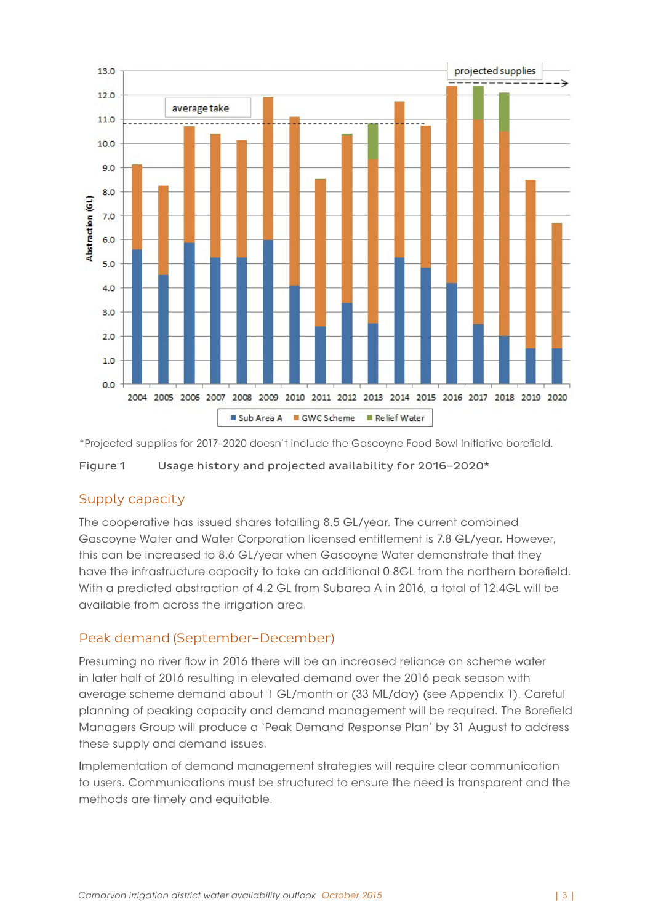

\*Projected supplies for 2017–2020 doesn't include the Gascoyne Food Bowl Initiative borefield.

Figure 1 Usage history and projected availability for 2016–2020\*

#### Supply capacity

The cooperative has issued shares totalling 8.5 GL/year. The current combined Gascoyne Water and Water Corporation licensed entitlement is 7.8 GL/year. However, this can be increased to 8.6 GL/year when Gascoyne Water demonstrate that they have the infrastructure capacity to take an additional 0.8GL from the northern borefield. With a predicted abstraction of 4.2 GL from Subarea A in 2016, a total of 12.4GL will be available from across the irrigation area.

#### Peak demand (September–December)

Presuming no river flow in 2016 there will be an increased reliance on scheme water in later half of 2016 resulting in elevated demand over the 2016 peak season with average scheme demand about 1 GL/month or (33 ML/day) (see Appendix 1). Careful planning of peaking capacity and demand management will be required. The Borefield Managers Group will produce a 'Peak Demand Response Plan' by 31 August to address these supply and demand issues.

Implementation of demand management strategies will require clear communication to users. Communications must be structured to ensure the need is transparent and the methods are timely and equitable.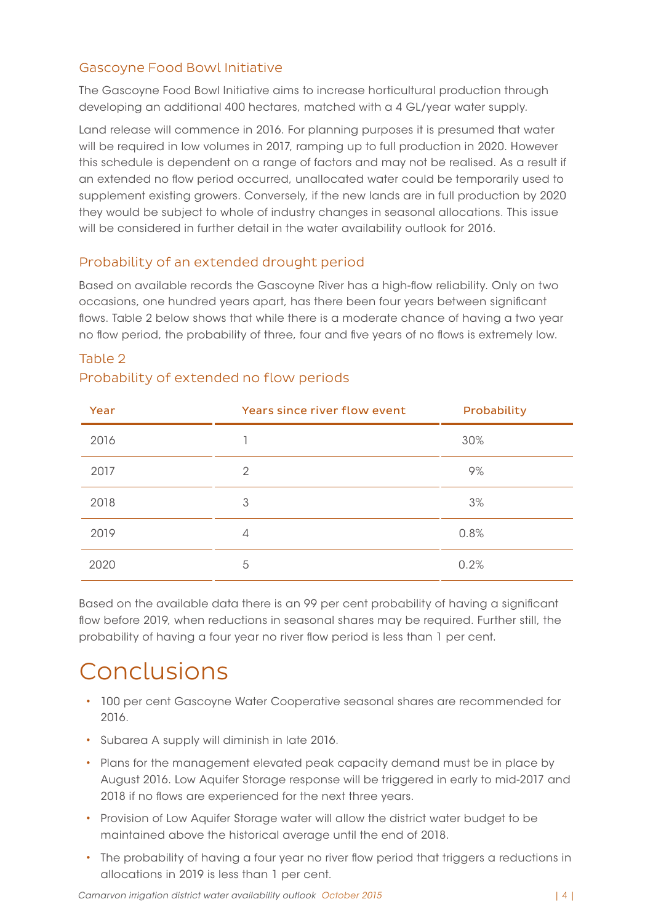#### Gascoyne Food Bowl Initiative

The Gascoyne Food Bowl Initiative aims to increase horticultural production through developing an additional 400 hectares, matched with a 4 GL/year water supply.

Land release will commence in 2016. For planning purposes it is presumed that water will be required in low volumes in 2017, ramping up to full production in 2020. However this schedule is dependent on a range of factors and may not be realised. As a result if an extended no flow period occurred, unallocated water could be temporarily used to supplement existing growers. Conversely, if the new lands are in full production by 2020 they would be subject to whole of industry changes in seasonal allocations. This issue will be considered in further detail in the water availability outlook for 2016.

#### Probability of an extended drought period

Based on available records the Gascoyne River has a high-flow reliability. Only on two occasions, one hundred years apart, has there been four years between significant flows. Table 2 below shows that while there is a moderate chance of having a two year no flow period, the probability of three, four and five years of no flows is extremely low.

| Year | Years since river flow event | Probability |
|------|------------------------------|-------------|
| 2016 |                              | 30%         |
| 2017 | $\mathcal{P}$                | 9%          |
| 2018 | 3                            | 3%          |
| 2019 | $\overline{4}$               | 0.8%        |
| 2020 | 5                            | 0.2%        |

#### Table 2 Probability of extended no flow periods

Based on the available data there is an 99 per cent probability of having a significant flow before 2019, when reductions in seasonal shares may be required. Further still, the probability of having a four year no river flow period is less than 1 per cent.

### Conclusions

- 100 per cent Gascoyne Water Cooperative seasonal shares are recommended for 2016.
- • Subarea A supply will diminish in late 2016.
- • Plans for the management elevated peak capacity demand must be in place by August 2016. Low Aquifer Storage response will be triggered in early to mid-2017 and 2018 if no flows are experienced for the next three years.
- • Provision of Low Aquifer Storage water will allow the district water budget to be maintained above the historical average until the end of 2018.
- The probability of having a four year no river flow period that triggers a reductions in allocations in 2019 is less than 1 per cent.